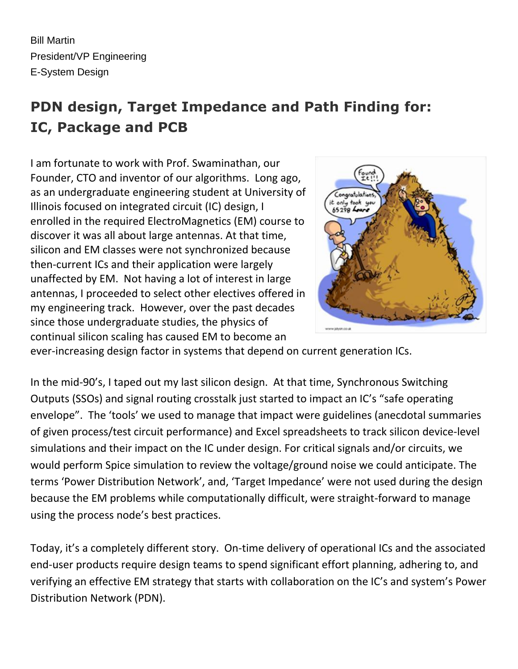Bill Martin President/VP Engineering E-System Design

# **PDN design, Target Impedance and Path Finding for: IC, Package and PCB**

I am fortunate to work with Prof. Swaminathan, our Founder, CTO and inventor of our algorithms. Long ago, as an undergraduate engineering student at University of Illinois focused on integrated circuit (IC) design, I enrolled in the required ElectroMagnetics (EM) course to discover it was all about large antennas. At that time, silicon and EM classes were not synchronized because then-current ICs and their application were largely unaffected by EM. Not having a lot of interest in large antennas, I proceeded to select other electives offered in my engineering track. However, over the past decades since those undergraduate studies, the physics of continual silicon scaling has caused EM to become an



ever-increasing design factor in systems that depend on current generation ICs.

In the mid-90's, I taped out my last silicon design. At that time, Synchronous Switching Outputs (SSOs) and signal routing crosstalk just started to impact an IC's "safe operating envelope". The 'tools' we used to manage that impact were guidelines (anecdotal summaries of given process/test circuit performance) and Excel spreadsheets to track silicon device-level simulations and their impact on the IC under design. For critical signals and/or circuits, we would perform Spice simulation to review the voltage/ground noise we could anticipate. The terms 'Power Distribution Network', and, 'Target Impedance' were not used during the design because the EM problems while computationally difficult, were straight-forward to manage using the process node's best practices.

Today, it's a completely different story. On-time delivery of operational ICs and the associated end-user products require design teams to spend significant effort planning, adhering to, and verifying an effective EM strategy that starts with collaboration on the IC's and system's Power Distribution Network (PDN).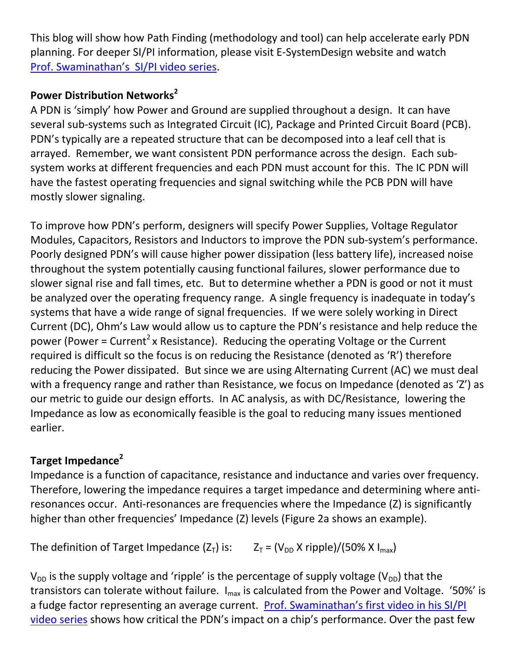This blog will show how Path Finding (methodology and tool) can help accelerate early PDN planning. For deeper SI/PI information, please visit E-SystemDesign website and watch [Prof. Swaminathan](http://www.e-systemdesign.com/Collateral.html)'s SI/PI video series.

## **Power Distribution Networks<sup>2</sup>**

A PDN is 'simply' how Power and Ground are supplied throughout a design. It can have several sub-systems such as Integrated Circuit (IC), Package and Printed Circuit Board (PCB). PDN's typically are a repeated structure that can be decomposed into a leaf cell that is arrayed. Remember, we want consistent PDN performance across the design. Each subsystem works at different frequencies and each PDN must account for this. The IC PDN will have the fastest operating frequencies and signal switching while the PCB PDN will have mostly slower signaling.

To improve how PDN's perform, designers will specify Power Supplies, Voltage Regulator Modules, Capacitors, Resistors and Inductors to improve the PDN sub-system's performance. Poorly designed PDN's will cause higher power dissipation (less battery life), increased noise throughout the system potentially causing functional failures, slower performance due to slower signal rise and fall times, etc. But to determine whether a PDN is good or not it must be analyzed over the operating frequency range. A single frequency is inadequate in today's systems that have a wide range of signal frequencies. If we were solely working in Direct Current (DC), Ohm's Law would allow us to capture the PDN's resistance and help reduce the power (Power = Current<sup>2</sup> x Resistance). Reducing the operating Voltage or the Current required is difficult so the focus is on reducing the Resistance (denoted as 'R') therefore reducing the Power dissipated. But since we are using Alternating Current (AC) we must deal with a frequency range and rather than Resistance, we focus on Impedance (denoted as 'Z') as our metric to guide our design efforts. In AC analysis, as with DC/Resistance, lowering the Impedance as low as economically feasible is the goal to reducing many issues mentioned earlier.

## **Target Impedance<sup>2</sup>**

Impedance is a function of capacitance, resistance and inductance and varies over frequency. Therefore, lowering the impedance requires a target impedance and determining where antiresonances occur. Anti-resonances are frequencies where the Impedance (Z) is significantly higher than other frequencies' Impedance (Z) levels (Figure 2a shows an example).

The definition of Target Impedance  $(Z_T)$  is:  $Z_T = (V_{DD} X$  ripple)/(50% X I<sub>max</sub>)

 $V_{DD}$  is the supply voltage and 'ripple' is the percentage of supply voltage ( $V_{DD}$ ) that the transistors can tolerate without failure.  $I_{\text{max}}$  is calculated from the Power and Voltage. '50%' is a fudge factor representing an average current. [Prof. Swaminathan's first video in his](http://www.e-systemdesign.com/Collateral.html) SI/PI [video series](http://www.e-systemdesign.com/Collateral.html) shows how critical the PDN's impact on a chip's performance. Over the past few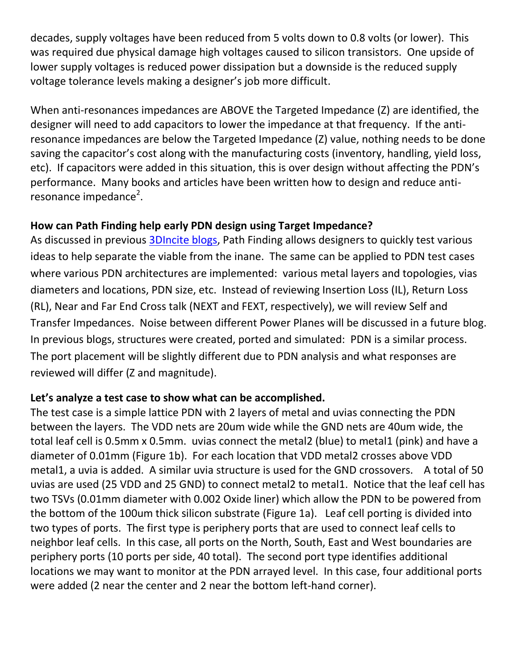decades, supply voltages have been reduced from 5 volts down to 0.8 volts (or lower). This was required due physical damage high voltages caused to silicon transistors. One upside of lower supply voltages is reduced power dissipation but a downside is the reduced supply voltage tolerance levels making a designer's job more difficult.

When anti-resonances impedances are ABOVE the Targeted Impedance (Z) are identified, the designer will need to add capacitors to lower the impedance at that frequency. If the antiresonance impedances are below the Targeted Impedance (Z) value, nothing needs to be done saving the capacitor's cost along with the manufacturing costs (inventory, handling, yield loss, etc). If capacitors were added in this situation, this is over design without affecting the PDN's performance. Many books and articles have been written how to design and reduce antiresonance impedance<sup>2</sup>.

#### **How can Path Finding help early PDN design using Target Impedance?**

As discussed in previous [3DIncite blogs,](http://www.3dincites.com/author/bill-martine-systemdesign-com/) Path Finding allows designers to quickly test various ideas to help separate the viable from the inane. The same can be applied to PDN test cases where various PDN architectures are implemented: various metal layers and topologies, vias diameters and locations, PDN size, etc. Instead of reviewing Insertion Loss (IL), Return Loss (RL), Near and Far End Cross talk (NEXT and FEXT, respectively), we will review Self and Transfer Impedances. Noise between different Power Planes will be discussed in a future blog. In previous blogs, structures were created, ported and simulated: PDN is a similar process. The port placement will be slightly different due to PDN analysis and what responses are reviewed will differ (Z and magnitude).

#### **Let's analyze a test case to show what can be accomplished.**

The test case is a simple lattice PDN with 2 layers of metal and uvias connecting the PDN between the layers. The VDD nets are 20um wide while the GND nets are 40um wide, the total leaf cell is 0.5mm x 0.5mm. uvias connect the metal2 (blue) to metal1 (pink) and have a diameter of 0.01mm (Figure 1b). For each location that VDD metal2 crosses above VDD metal1, a uvia is added. A similar uvia structure is used for the GND crossovers. A total of 50 uvias are used (25 VDD and 25 GND) to connect metal2 to metal1. Notice that the leaf cell has two TSVs (0.01mm diameter with 0.002 Oxide liner) which allow the PDN to be powered from the bottom of the 100um thick silicon substrate (Figure 1a). Leaf cell porting is divided into two types of ports. The first type is periphery ports that are used to connect leaf cells to neighbor leaf cells. In this case, all ports on the North, South, East and West boundaries are periphery ports (10 ports per side, 40 total). The second port type identifies additional locations we may want to monitor at the PDN arrayed level. In this case, four additional ports were added (2 near the center and 2 near the bottom left-hand corner).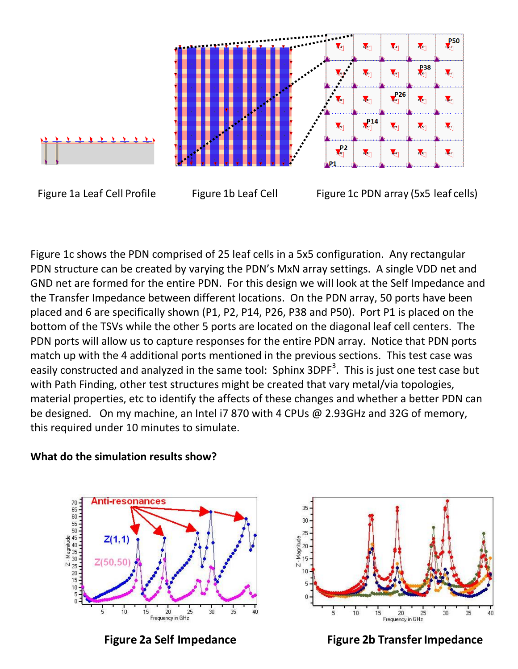

Figure 1a Leaf Cell Profile Figure 1b Leaf Cell Figure 1c PDN array (5x5 leaf cells)

Figure 1c shows the PDN comprised of 25 leaf cells in a 5x5 configuration. Any rectangular PDN structure can be created by varying the PDN's MxN array settings. A single VDD net and GND net are formed for the entire PDN. For this design we will look at the Self Impedance and the Transfer Impedance between different locations. On the PDN array, 50 ports have been placed and 6 are specifically shown (P1, P2, P14, P26, P38 and P50). Port P1 is placed on the bottom of the TSVs while the other 5 ports are located on the diagonal leaf cell centers. The PDN ports will allow us to capture responses for the entire PDN array. Notice that PDN ports match up with the 4 additional ports mentioned in the previous sections. This test case was easily constructed and analyzed in the same tool: Sphinx 3DPF<sup>3</sup>. This is just one test case but with Path Finding, other test structures might be created that vary metal/via topologies, material properties, etc to identify the affects of these changes and whether a better PDN can be designed. On my machine, an Intel i7 870 with 4 CPUs @ 2.93GHz and 32G of memory, this required under 10 minutes to simulate.







**Figure 2a Self Impedance Figure 2b Transfer Impedance**